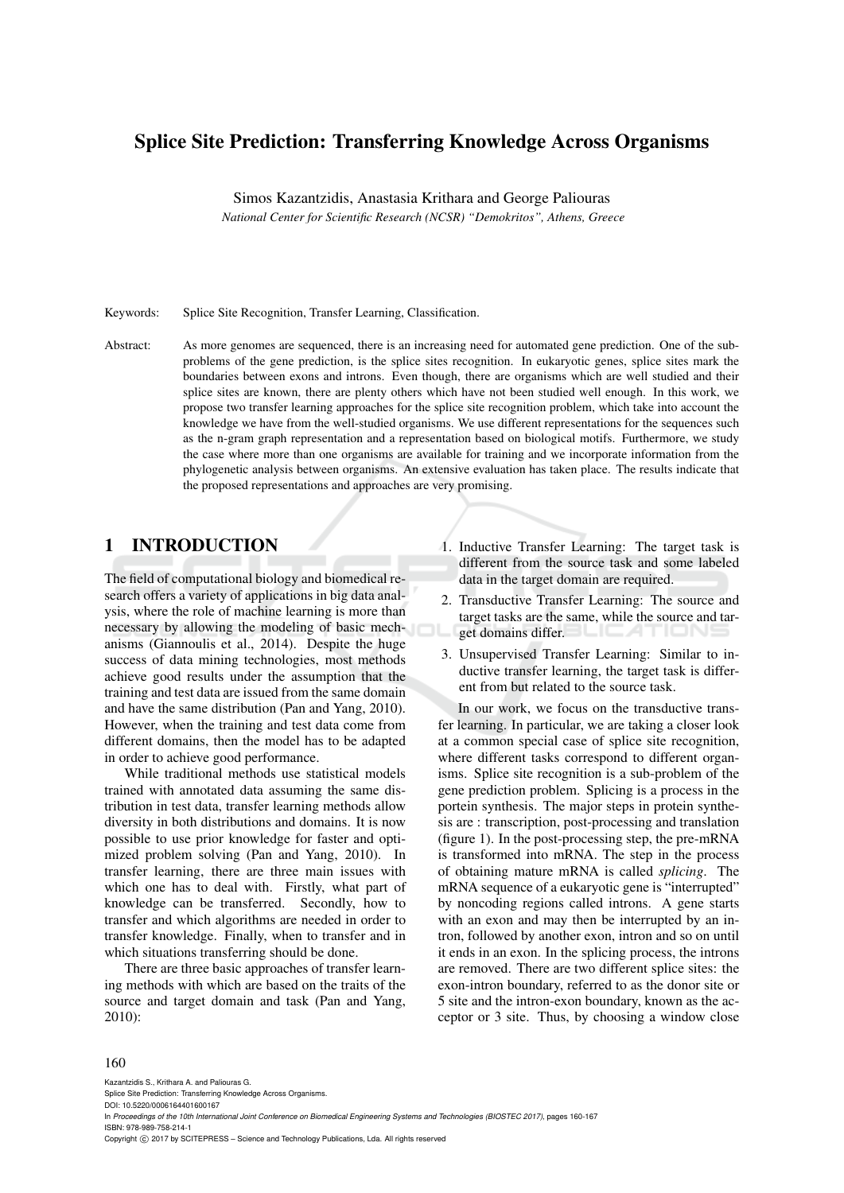# Splice Site Prediction: Transferring Knowledge Across Organisms

Simos Kazantzidis, Anastasia Krithara and George Paliouras

*National Center for Scientific Research (NCSR) "Demokritos", Athens, Greece*

Keywords: Splice Site Recognition, Transfer Learning, Classification.

Abstract: As more genomes are sequenced, there is an increasing need for automated gene prediction. One of the subproblems of the gene prediction, is the splice sites recognition. In eukaryotic genes, splice sites mark the boundaries between exons and introns. Even though, there are organisms which are well studied and their splice sites are known, there are plenty others which have not been studied well enough. In this work, we propose two transfer learning approaches for the splice site recognition problem, which take into account the knowledge we have from the well-studied organisms. We use different representations for the sequences such as the n-gram graph representation and a representation based on biological motifs. Furthermore, we study the case where more than one organisms are available for training and we incorporate information from the phylogenetic analysis between organisms. An extensive evaluation has taken place. The results indicate that the proposed representations and approaches are very promising.

## 1 INTRODUCTION

The field of computational biology and biomedical research offers a variety of applications in big data analysis, where the role of machine learning is more than necessary by allowing the modeling of basic mechanisms (Giannoulis et al., 2014). Despite the huge success of data mining technologies, most methods achieve good results under the assumption that the training and test data are issued from the same domain and have the same distribution (Pan and Yang, 2010). However, when the training and test data come from different domains, then the model has to be adapted in order to achieve good performance.

While traditional methods use statistical models trained with annotated data assuming the same distribution in test data, transfer learning methods allow diversity in both distributions and domains. It is now possible to use prior knowledge for faster and optimized problem solving (Pan and Yang, 2010). In transfer learning, there are three main issues with which one has to deal with. Firstly, what part of knowledge can be transferred. Secondly, how to transfer and which algorithms are needed in order to transfer knowledge. Finally, when to transfer and in which situations transferring should be done.

There are three basic approaches of transfer learning methods with which are based on the traits of the source and target domain and task (Pan and Yang, 2010):

- 1. Inductive Transfer Learning: The target task is different from the source task and some labeled data in the target domain are required.
- 2. Transductive Transfer Learning: The source and target tasks are the same, while the source and target domains differ.
- 3. Unsupervised Transfer Learning: Similar to inductive transfer learning, the target task is different from but related to the source task.

In our work, we focus on the transductive transfer learning. In particular, we are taking a closer look at a common special case of splice site recognition, where different tasks correspond to different organisms. Splice site recognition is a sub-problem of the gene prediction problem. Splicing is a process in the portein synthesis. The major steps in protein synthesis are : transcription, post-processing and translation (figure 1). In the post-processing step, the pre-mRNA is transformed into mRNA. The step in the process of obtaining mature mRNA is called *splicing*. The mRNA sequence of a eukaryotic gene is "interrupted" by noncoding regions called introns. A gene starts with an exon and may then be interrupted by an intron, followed by another exon, intron and so on until it ends in an exon. In the splicing process, the introns are removed. There are two different splice sites: the exon-intron boundary, referred to as the donor site or 5 site and the intron-exon boundary, known as the acceptor or 3 site. Thus, by choosing a window close

#### 160

Kazantzidis S., Krithara A. and Paliouras G. Splice Site Prediction: Transferring Knowledge Across Organisms. DOI: 10.5220/0006164401600167

In *Proceedings of the 10th International Joint Conference on Biomedical Engineering Systems and Technologies (BIOSTEC 2017)*, pages 160-167 ISBN: 978-989-758-214-1

Copyright © 2017 by SCITEPRESS - Science and Technology Publications, Lda. All rights reserved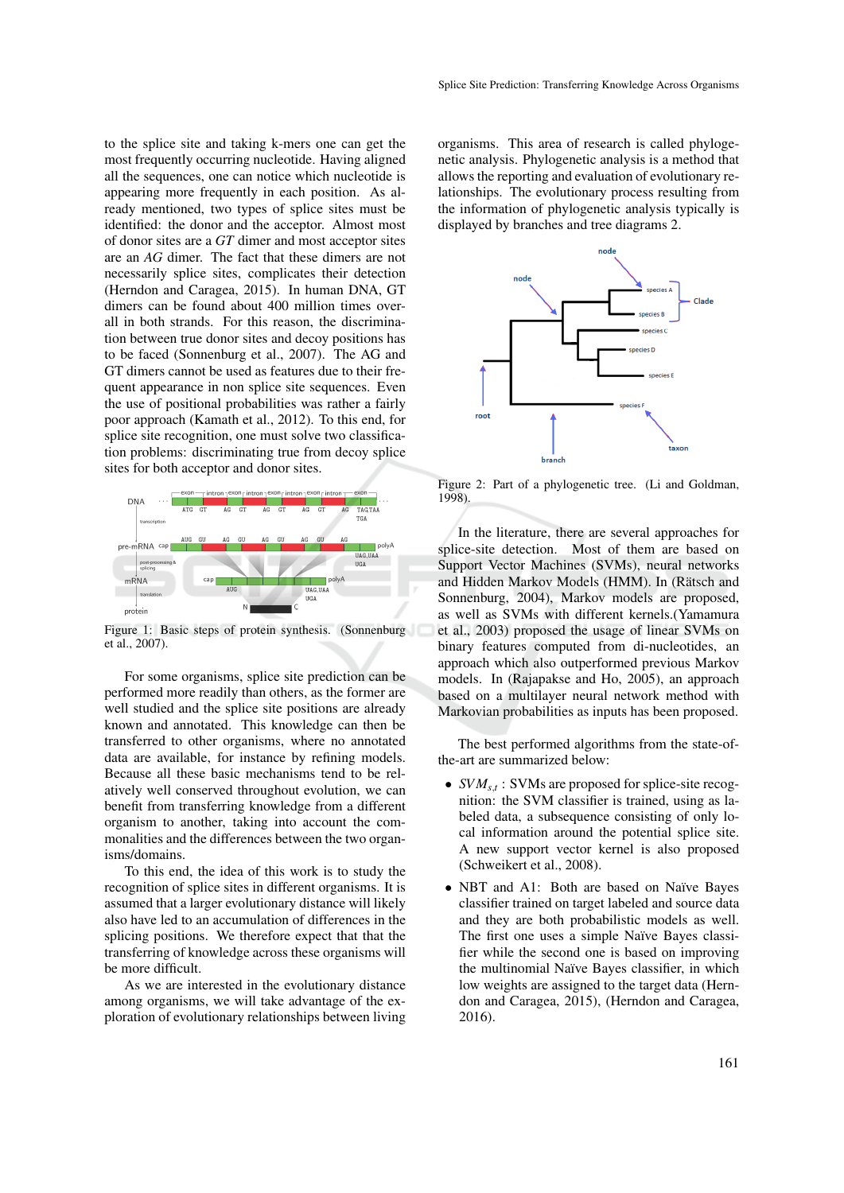to the splice site and taking k-mers one can get the most frequently occurring nucleotide. Having aligned all the sequences, one can notice which nucleotide is appearing more frequently in each position. As already mentioned, two types of splice sites must be identified: the donor and the acceptor. Almost most of donor sites are a *GT* dimer and most acceptor sites are an *AG* dimer. The fact that these dimers are not necessarily splice sites, complicates their detection (Herndon and Caragea, 2015). In human DNA, GT dimers can be found about 400 million times overall in both strands. For this reason, the discrimination between true donor sites and decoy positions has to be faced (Sonnenburg et al., 2007). The AG and GT dimers cannot be used as features due to their frequent appearance in non splice site sequences. Even the use of positional probabilities was rather a fairly poor approach (Kamath et al., 2012). To this end, for splice site recognition, one must solve two classification problems: discriminating true from decoy splice sites for both acceptor and donor sites.



Figure 1: Basic steps of protein synthesis. (Sonnenburg et al., 2007).

For some organisms, splice site prediction can be performed more readily than others, as the former are well studied and the splice site positions are already known and annotated. This knowledge can then be transferred to other organisms, where no annotated data are available, for instance by refining models. Because all these basic mechanisms tend to be relatively well conserved throughout evolution, we can benefit from transferring knowledge from a different organism to another, taking into account the commonalities and the differences between the two organisms/domains.

To this end, the idea of this work is to study the recognition of splice sites in different organisms. It is assumed that a larger evolutionary distance will likely also have led to an accumulation of differences in the splicing positions. We therefore expect that that the transferring of knowledge across these organisms will be more difficult.

As we are interested in the evolutionary distance among organisms, we will take advantage of the exploration of evolutionary relationships between living

organisms. This area of research is called phylogenetic analysis. Phylogenetic analysis is a method that allows the reporting and evaluation of evolutionary relationships. The evolutionary process resulting from the information of phylogenetic analysis typically is displayed by branches and tree diagrams 2.



Figure 2: Part of a phylogenetic tree. (Li and Goldman, 1998).

In the literature, there are several approaches for splice-site detection. Most of them are based on Support Vector Machines (SVMs), neural networks and Hidden Markov Models (HMM). In (Rätsch and Sonnenburg, 2004), Markov models are proposed, as well as SVMs with different kernels.(Yamamura et al., 2003) proposed the usage of linear SVMs on binary features computed from di-nucleotides, an approach which also outperformed previous Markov models. In (Rajapakse and Ho, 2005), an approach based on a multilayer neural network method with Markovian probabilities as inputs has been proposed.

The best performed algorithms from the state-ofthe-art are summarized below:

- $SVM_{s,t}$ : SVMs are proposed for splice-site recognition: the SVM classifier is trained, using as labeled data, a subsequence consisting of only local information around the potential splice site. A new support vector kernel is also proposed (Schweikert et al., 2008).
- NBT and A1: Both are based on Naïve Bayes classifier trained on target labeled and source data and they are both probabilistic models as well. The first one uses a simple Naïve Bayes classifier while the second one is based on improving the multinomial Naïve Bayes classifier, in which low weights are assigned to the target data (Herndon and Caragea, 2015), (Herndon and Caragea, 2016).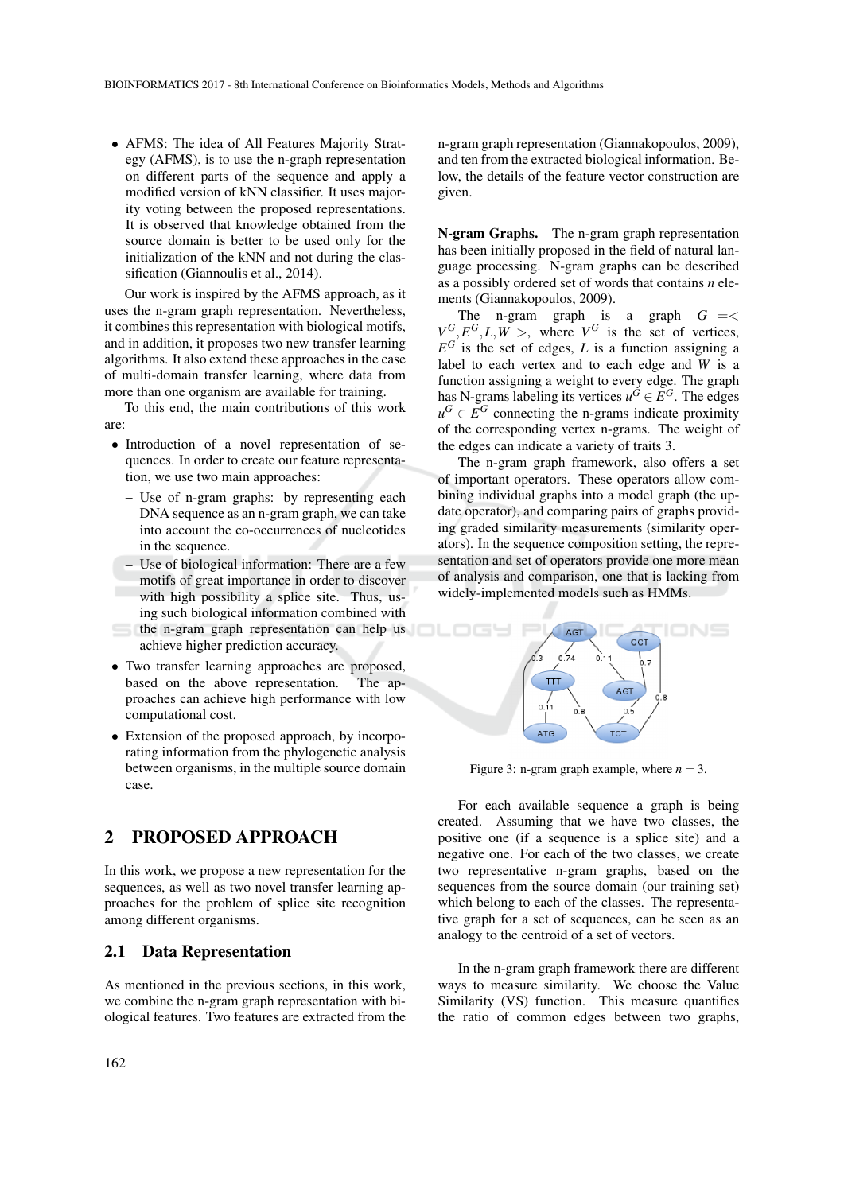• AFMS: The idea of All Features Majority Strategy (AFMS), is to use the n-graph representation on different parts of the sequence and apply a modified version of kNN classifier. It uses majority voting between the proposed representations. It is observed that knowledge obtained from the source domain is better to be used only for the initialization of the kNN and not during the classification (Giannoulis et al., 2014).

Our work is inspired by the AFMS approach, as it uses the n-gram graph representation. Nevertheless, it combines this representation with biological motifs, and in addition, it proposes two new transfer learning algorithms. It also extend these approaches in the case of multi-domain transfer learning, where data from more than one organism are available for training.

To this end, the main contributions of this work are:

- Introduction of a novel representation of sequences. In order to create our feature representation, we use two main approaches:
	- Use of n-gram graphs: by representing each DNA sequence as an n-gram graph, we can take into account the co-occurrences of nucleotides in the sequence.
	- Use of biological information: There are a few motifs of great importance in order to discover with high possibility a splice site. Thus, using such biological information combined with
- the n-gram graph representation can help us achieve higher prediction accuracy.
- Two transfer learning approaches are proposed, based on the above representation. proaches can achieve high performance with low computational cost.
- Extension of the proposed approach, by incorporating information from the phylogenetic analysis between organisms, in the multiple source domain case.

## 2 PROPOSED APPROACH

In this work, we propose a new representation for the sequences, as well as two novel transfer learning approaches for the problem of splice site recognition among different organisms.

## 2.1 Data Representation

As mentioned in the previous sections, in this work, we combine the n-gram graph representation with biological features. Two features are extracted from the n-gram graph representation (Giannakopoulos, 2009), and ten from the extracted biological information. Below, the details of the feature vector construction are given.

N-gram Graphs. The n-gram graph representation has been initially proposed in the field of natural language processing. N-gram graphs can be described as a possibly ordered set of words that contains *n* elements (Giannakopoulos, 2009).

The n-gram graph is a graph  $G = \lt$  $V^G, E^G, L, W >$ , where  $V^G$  is the set of vertices,  $E^G$  is the set of edges, *L* is a function assigning a label to each vertex and to each edge and *W* is a function assigning a weight to every edge. The graph has N-grams labeling its vertices  $u^G \in E^G$ . The edges  $u^G \in E^G$  connecting the n-grams indicate proximity of the corresponding vertex n-grams. The weight of the edges can indicate a variety of traits 3.

The n-gram graph framework, also offers a set of important operators. These operators allow combining individual graphs into a model graph (the update operator), and comparing pairs of graphs providing graded similarity measurements (similarity operators). In the sequence composition setting, the representation and set of operators provide one more mean of analysis and comparison, one that is lacking from widely-implemented models such as HMMs.



Figure 3: n-gram graph example, where  $n = 3$ .

For each available sequence a graph is being created. Assuming that we have two classes, the positive one (if a sequence is a splice site) and a negative one. For each of the two classes, we create two representative n-gram graphs, based on the sequences from the source domain (our training set) which belong to each of the classes. The representative graph for a set of sequences, can be seen as an analogy to the centroid of a set of vectors.

In the n-gram graph framework there are different ways to measure similarity. We choose the Value Similarity (VS) function. This measure quantifies the ratio of common edges between two graphs,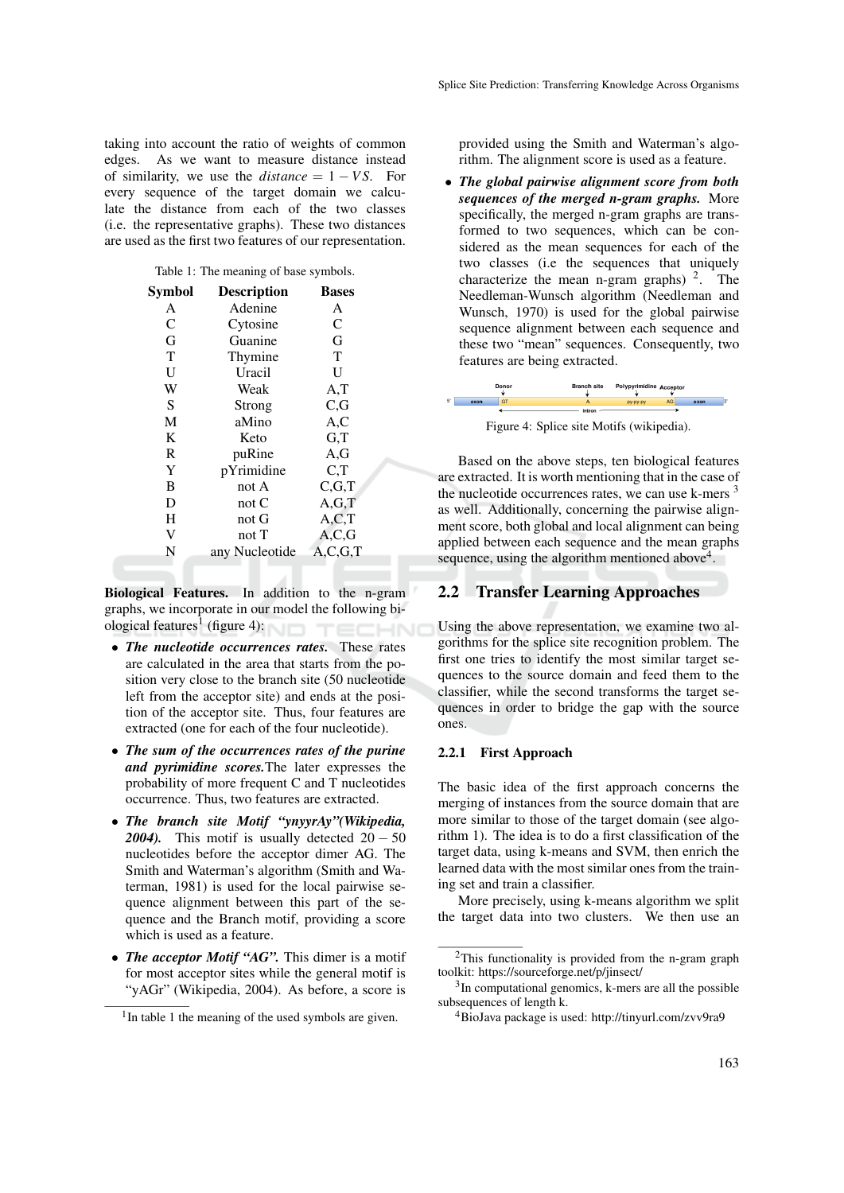taking into account the ratio of weights of common edges. As we want to measure distance instead of similarity, we use the  $distance = 1 - VS$ . For every sequence of the target domain we calculate the distance from each of the two classes (i.e. the representative graphs). These two distances are used as the first two features of our representation.

Table 1: The meaning of base symbols.

| Symbol         | <b>Description</b> | <b>Bases</b> |
|----------------|--------------------|--------------|
| A              | Adenine            | A            |
| $\overline{C}$ | Cytosine           | $\mathsf{C}$ |
| G              | Guanine            | G            |
| T              | Thymine            | T            |
| $\mathbf{U}$   | Uracil             | U            |
| W              | Weak               | A, T         |
| S              | Strong             | C, G         |
| M              | aMino              | A, C         |
| K              | Keto               | G,T          |
| R              | puRine             | A,G          |
| Y              | pYrimidine         | C,T          |
| B              | not A              | C.G.T        |
| D              | not $C$            | A.G.T        |
| H              | not G              | A.C.T        |
| V              | not T              | A.C.G        |
| N              | any Nucleotide     | A, C, G, T   |
|                |                    |              |

Biological Features. In addition to the n-gram graphs, we incorporate in our model the following biological features<sup>1</sup> (figure 4): TECHNO

- *The nucleotide occurrences rates.* These rates are calculated in the area that starts from the position very close to the branch site (50 nucleotide left from the acceptor site) and ends at the position of the acceptor site. Thus, four features are extracted (one for each of the four nucleotide).
- *The sum of the occurrences rates of the purine and pyrimidine scores.*The later expresses the probability of more frequent C and T nucleotides occurrence. Thus, two features are extracted.
- *The branch site Motif "ynyyrAy"(Wikipedia, 2004*). This motif is usually detected  $20 - 50$ nucleotides before the acceptor dimer AG. The Smith and Waterman's algorithm (Smith and Waterman, 1981) is used for the local pairwise sequence alignment between this part of the sequence and the Branch motif, providing a score which is used as a feature.
- *The acceptor Motif "AG"*. This dimer is a motif for most acceptor sites while the general motif is "yAGr" (Wikipedia, 2004). As before, a score is

provided using the Smith and Waterman's algorithm. The alignment score is used as a feature.

• *The global pairwise alignment score from both sequences of the merged n-gram graphs.* More specifically, the merged n-gram graphs are transformed to two sequences, which can be considered as the mean sequences for each of the two classes (i.e the sequences that uniquely characterize the mean n-gram graphs)  $2$ . The Needleman-Wunsch algorithm (Needleman and Wunsch, 1970) is used for the global pairwise sequence alignment between each sequence and these two "mean" sequences. Consequently, two features are being extracted.



Figure 4: Splice site Motifs (wikipedia).

Based on the above steps, ten biological features are extracted. It is worth mentioning that in the case of the nucleotide occurrences rates, we can use  $k$ -mers  $3$ as well. Additionally, concerning the pairwise alignment score, both global and local alignment can being applied between each sequence and the mean graphs sequence, using the algorithm mentioned above $4$ .

### 2.2 Transfer Learning Approaches

Using the above representation, we examine two algorithms for the splice site recognition problem. The first one tries to identify the most similar target sequences to the source domain and feed them to the classifier, while the second transforms the target sequences in order to bridge the gap with the source ones.

### 2.2.1 First Approach

The basic idea of the first approach concerns the merging of instances from the source domain that are more similar to those of the target domain (see algorithm 1). The idea is to do a first classification of the target data, using k-means and SVM, then enrich the learned data with the most similar ones from the training set and train a classifier.

More precisely, using k-means algorithm we split the target data into two clusters. We then use an

<sup>&</sup>lt;sup>1</sup>In table 1 the meaning of the used symbols are given.

<sup>&</sup>lt;sup>2</sup>This functionality is provided from the n-gram graph toolkit: https://sourceforge.net/p/jinsect/

<sup>&</sup>lt;sup>3</sup>In computational genomics, k-mers are all the possible subsequences of length k.

<sup>4</sup>BioJava package is used: http://tinyurl.com/zvv9ra9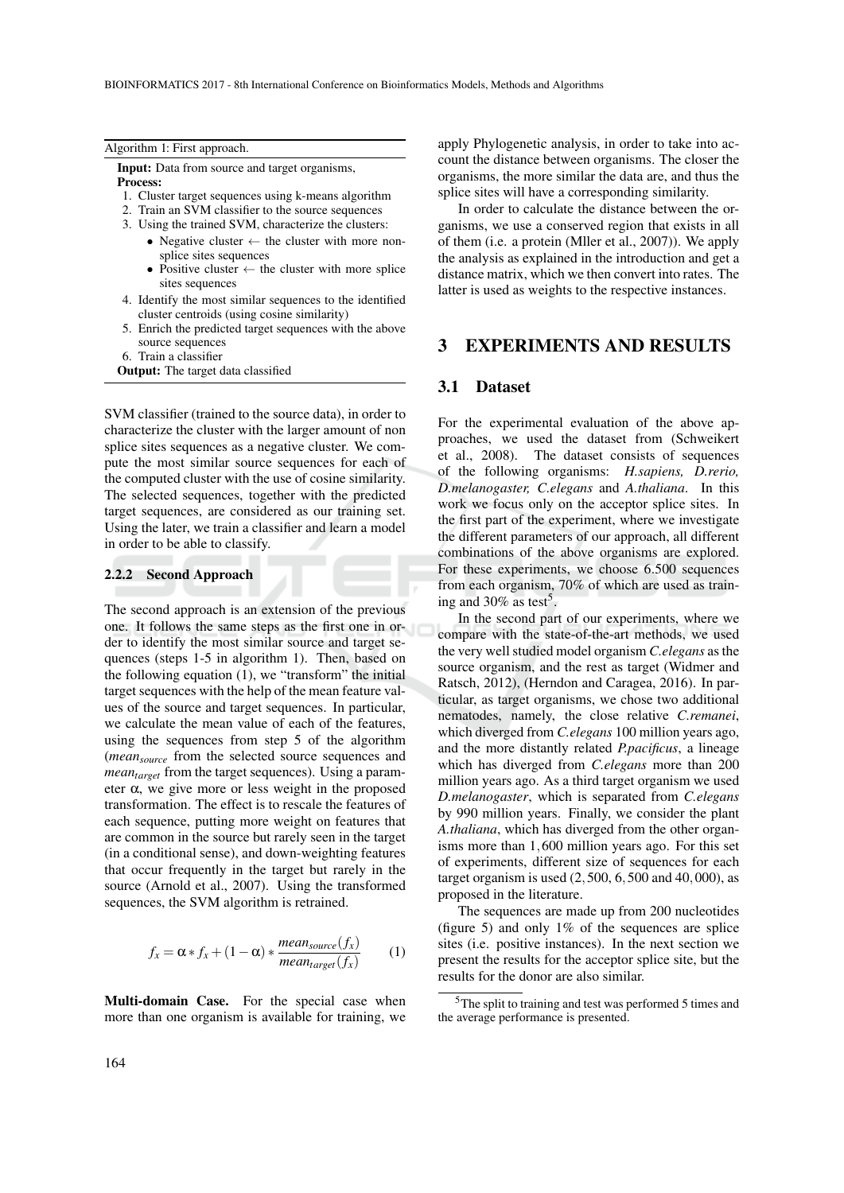| Algorithm 1: First approach.                                                                                                                                            | apply Ph                                        |
|-------------------------------------------------------------------------------------------------------------------------------------------------------------------------|-------------------------------------------------|
| <b>Input:</b> Data from source and target organisms,<br><b>Process:</b>                                                                                                 | count the<br>organism                           |
| 1. Cluster target sequences using k-means algorithm                                                                                                                     | splice sit                                      |
| 2. Train an SVM classifier to the source sequences                                                                                                                      | In or                                           |
| 3. Using the trained SVM, characterize the clusters:                                                                                                                    | ganisms,                                        |
| • Negative cluster $\leftarrow$ the cluster with more non-<br>splice sites sequences<br>• Positive cluster $\leftarrow$ the cluster with more splice<br>sites sequences | of them<br>the analy<br>distance<br>latter is u |
| 4. Identify the most similar sequences to the identified<br>cluster centroids (using cosine similarity)                                                                 |                                                 |
| 5. Enrich the predicted target sequences with the above<br>source sequences                                                                                             | 3                                               |
| 6. Train a classifier                                                                                                                                                   |                                                 |

Output: The target data classified

SVM classifier (trained to the source data), in order to characterize the cluster with the larger amount of non splice sites sequences as a negative cluster. We compute the most similar source sequences for each of the computed cluster with the use of cosine similarity. The selected sequences, together with the predicted target sequences, are considered as our training set. Using the later, we train a classifier and learn a model in order to be able to classify.

#### 2.2.2 Second Approach

The second approach is an extension of the previous one. It follows the same steps as the first one in order to identify the most similar source and target sequences (steps 1-5 in algorithm 1). Then, based on the following equation (1), we "transform" the initial target sequences with the help of the mean feature values of the source and target sequences. In particular, we calculate the mean value of each of the features, using the sequences from step 5 of the algorithm (*meansource* from the selected source sequences and *meantarget* from the target sequences). Using a parameter  $\alpha$ , we give more or less weight in the proposed transformation. The effect is to rescale the features of each sequence, putting more weight on features that are common in the source but rarely seen in the target (in a conditional sense), and down-weighting features that occur frequently in the target but rarely in the source (Arnold et al., 2007). Using the transformed sequences, the SVM algorithm is retrained.

$$
f_x = \alpha * f_x + (1 - \alpha) * \frac{mean_{source}(f_x)}{mean_{target}(f_x)}
$$
 (1)

Multi-domain Case. For the special case when more than one organism is available for training, we nylogenetic analysis, in order to take into ace distance between organisms. The closer the ns, the more similar the data are, and thus the tes will have a corresponding similarity.

der to calculate the distance between the orwe use a conserved region that exists in all  $(i.e. a protein (Miller et al., 2007))$ . We apply sis as explained in the introduction and get a matrix, which we then convert into rates. The latter as weights to the respective instances.

## 3 EXPERIMENTS AND RESULTS

### 3.1 Dataset

For the experimental evaluation of the above approaches, we used the dataset from (Schweikert et al., 2008). The dataset consists of sequences of the following organisms: *H.sapiens, D.rerio, D.melanogaster, C.elegans* and *A.thaliana*. In this work we focus only on the acceptor splice sites. In the first part of the experiment, where we investigate the different parameters of our approach, all different combinations of the above organisms are explored. For these experiments, we choose 6.500 sequences from each organism, 70% of which are used as training and 30% as test<sup>5</sup>.

In the second part of our experiments, where we compare with the state-of-the-art methods, we used the very well studied model organism *C.elegans* as the source organism, and the rest as target (Widmer and Ratsch, 2012), (Herndon and Caragea, 2016). In particular, as target organisms, we chose two additional nematodes, namely, the close relative *C.remanei*, which diverged from *C.elegans* 100 million years ago, and the more distantly related *P.pacificus*, a lineage which has diverged from *C.elegans* more than 200 million years ago. As a third target organism we used *D.melanogaster*, which is separated from *C.elegans* by 990 million years. Finally, we consider the plant *A.thaliana*, which has diverged from the other organisms more than 1,600 million years ago. For this set of experiments, different size of sequences for each target organism is used  $(2,500, 6,500, 40,000)$ , as proposed in the literature.

The sequences are made up from 200 nucleotides (figure 5) and only 1% of the sequences are splice sites (i.e. positive instances). In the next section we present the results for the acceptor splice site, but the results for the donor are also similar.

<sup>5</sup>The split to training and test was performed 5 times and the average performance is presented.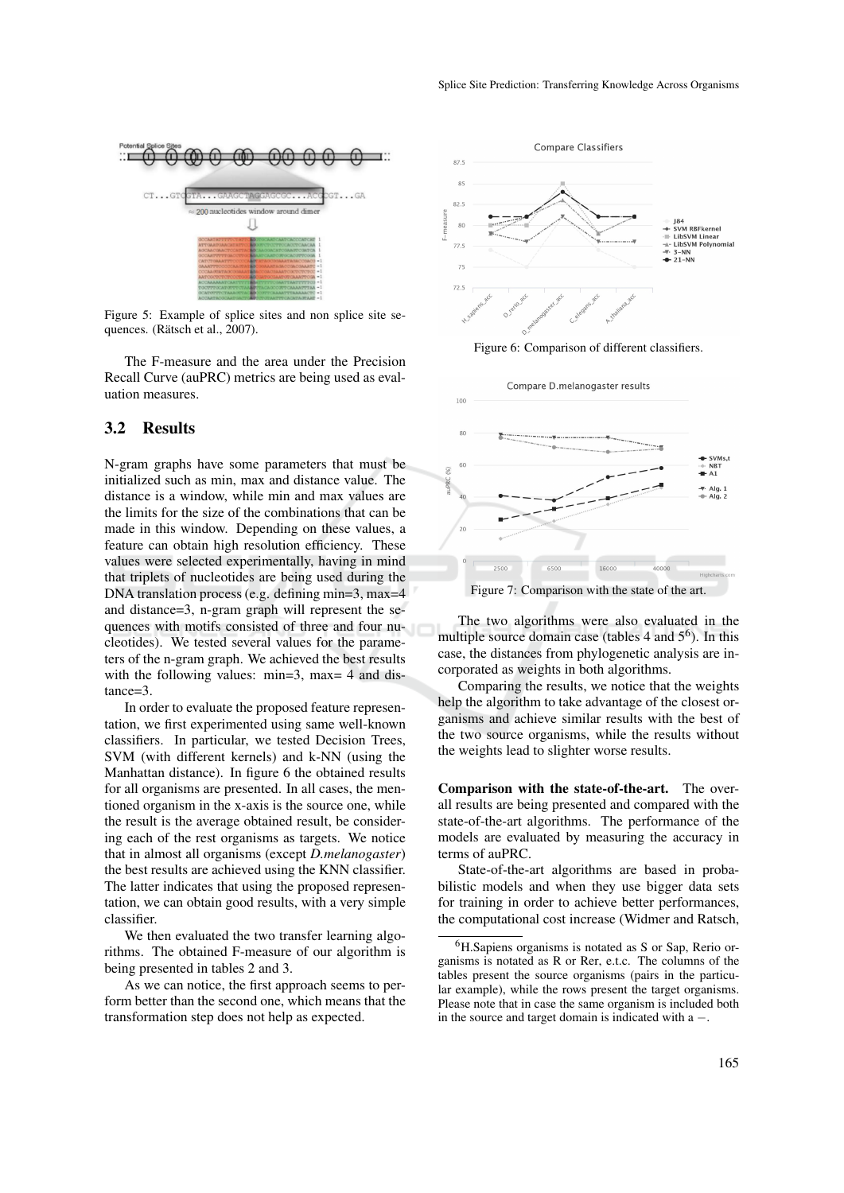

Figure 5: Example of splice sites and non splice site sequences. (Rätsch et al., 2007).

The F-measure and the area under the Precision Recall Curve (auPRC) metrics are being used as evaluation measures.

## 3.2 Results

N-gram graphs have some parameters that must be initialized such as min, max and distance value. The distance is a window, while min and max values are the limits for the size of the combinations that can be made in this window. Depending on these values, a feature can obtain high resolution efficiency. These values were selected experimentally, having in mind that triplets of nucleotides are being used during the DNA translation process (e.g. defining min=3, max=4 and distance=3, n-gram graph will represent the sequences with motifs consisted of three and four nucleotides). We tested several values for the parameters of the n-gram graph. We achieved the best results with the following values: min=3, max= 4 and distance=3.

In order to evaluate the proposed feature representation, we first experimented using same well-known classifiers. In particular, we tested Decision Trees, SVM (with different kernels) and k-NN (using the Manhattan distance). In figure 6 the obtained results for all organisms are presented. In all cases, the mentioned organism in the x-axis is the source one, while the result is the average obtained result, be considering each of the rest organisms as targets. We notice that in almost all organisms (except *D.melanogaster*) the best results are achieved using the KNN classifier. The latter indicates that using the proposed representation, we can obtain good results, with a very simple classifier.

We then evaluated the two transfer learning algorithms. The obtained F-measure of our algorithm is being presented in tables 2 and 3.

As we can notice, the first approach seems to perform better than the second one, which means that the transformation step does not help as expected.







The two algorithms were also evaluated in the multiple source domain case (tables  $4$  and  $5^6$ ). In this case, the distances from phylogenetic analysis are incorporated as weights in both algorithms.

Comparing the results, we notice that the weights help the algorithm to take advantage of the closest organisms and achieve similar results with the best of the two source organisms, while the results without the weights lead to slighter worse results.

Comparison with the state-of-the-art. The overall results are being presented and compared with the state-of-the-art algorithms. The performance of the models are evaluated by measuring the accuracy in terms of auPRC.

State-of-the-art algorithms are based in probabilistic models and when they use bigger data sets for training in order to achieve better performances, the computational cost increase (Widmer and Ratsch,

 ${}^{6}$ H.Sapiens organisms is notated as S or Sap, Rerio organisms is notated as R or Rer, e.t.c. The columns of the tables present the source organisms (pairs in the particular example), while the rows present the target organisms. Please note that in case the same organism is included both in the source and target domain is indicated with a −.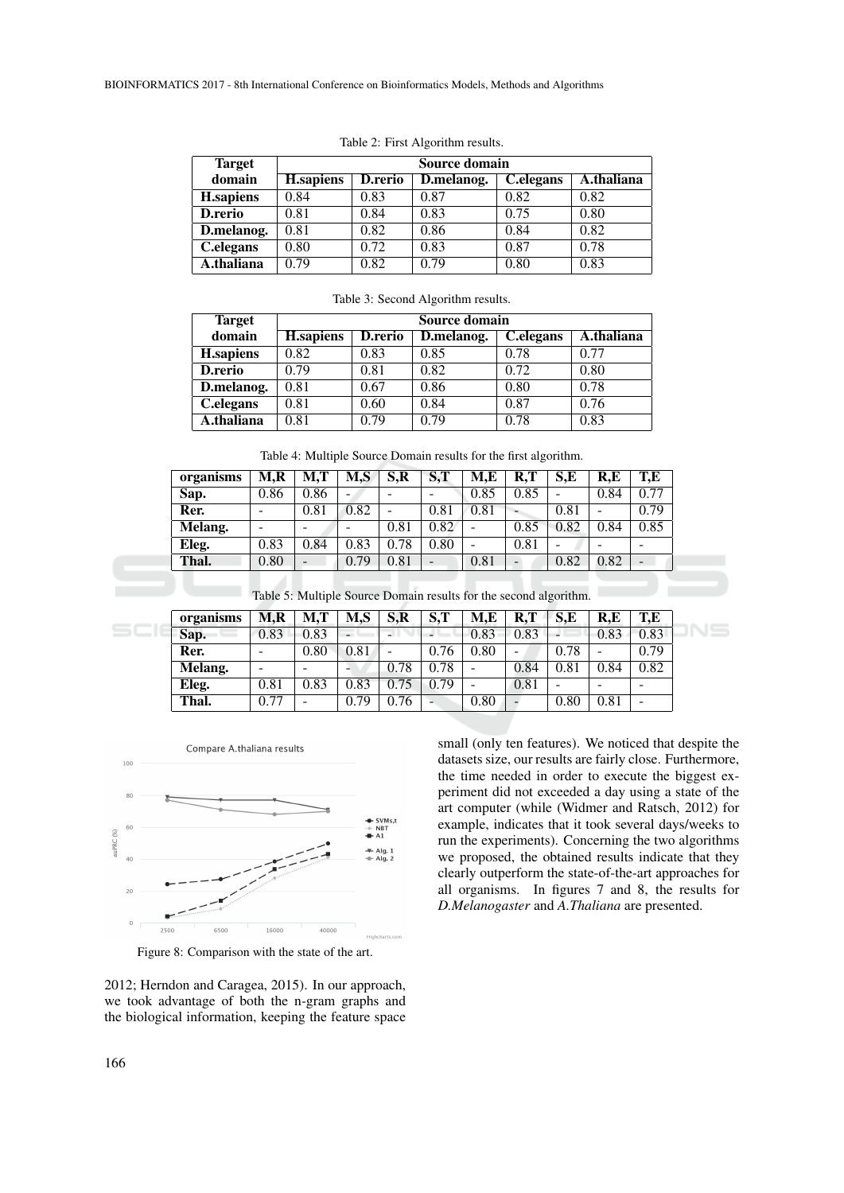| <b>Target</b>    |                   |         | Source domain |                         |            |
|------------------|-------------------|---------|---------------|-------------------------|------------|
| domain           | <b>H</b> .sapiens | D.rerio | D.melanog.    | $\overline{C}$ .elegans | A.thaliana |
| <b>H.sapiens</b> | 0.84              | 0.83    | 0.87          | 0.82                    | 0.82       |
| D.rerio          | 0.81              | 0.84    | 0.83          | 0.75                    | 0.80       |
| D.melanog.       | 0.81              | 0.82    | 0.86          | 0.84                    | 0.82       |
| C.elegans        | 0.80              | 0.72    | 0.83          | 0.87                    | 0.78       |
| A.thaliana       | 0.79              | 0.82    | 0.79          | 0.80                    | 0.83       |

Table 2: First Algorithm results.

|  |  | Table 3: Second Algorithm results. |  |
|--|--|------------------------------------|--|
|--|--|------------------------------------|--|

| <b>Target</b>    |                  | Source domain  |            |                        |            |  |  |  |  |  |  |
|------------------|------------------|----------------|------------|------------------------|------------|--|--|--|--|--|--|
| domain           | <b>H.sapiens</b> | <b>D.rerio</b> | D.melanog. | $\overline{C}$ elegans | A.thaliana |  |  |  |  |  |  |
| <b>H.sapiens</b> | 0.82             | 0.83           | 0.85       | 0.78                   | 0.77       |  |  |  |  |  |  |
| D.rerio          | 0.79             | 0.81           | 0.82       | 0.72                   | 0.80       |  |  |  |  |  |  |
| D.melanog.       | 0.81             | 0.67           | 0.86       | 0.80                   | 0.78       |  |  |  |  |  |  |
| C.elegans        | 0.81             | 0.60           | 0.84       | 0.87                   | 0.76       |  |  |  |  |  |  |
| A.thaliana       | 0.81             | 0.79           | 0.79       | 0.78                   | 0.83       |  |  |  |  |  |  |

Table 4: Multiple Source Domain results for the first algorithm.

| organisms | M,R  | M.T                      | M,S  | $S_{\rm R}$ | S,T  | M.E  | R, T       | S.E  | R.E  | T.E                      |
|-----------|------|--------------------------|------|-------------|------|------|------------|------|------|--------------------------|
| Sap.      | 0.86 | 0.86                     | -    | -           |      | 0.85 | 0.85       | -    | 0.84 | 0.77                     |
| Rer.      | -    | 0.81                     | 0.82 | -           | 0.81 | 0.81 |            | 0.81 |      | 0.79                     |
| Melang.   | -    | -                        |      | 0.81        | 0.82 | -    | 0.85       | 0.82 | 0.84 | 0.85                     |
| Eleg.     | 0.83 | 0.84                     | 0.83 | 0.78        | 0.80 | -    | $\rm 0.81$ |      |      | -                        |
| Thal.     | 0.80 | $\overline{\phantom{0}}$ | 0.79 | 0.81        | -    | 0.81 |            | 0.82 | 0.82 | $\overline{\phantom{0}}$ |

| organisms | M.R                      | M,T                      | M,S                      | $S_{\rm R}$ | cт<br><b>D.I</b> | M,E  | R.T                      | S.E                      | R.E                      | T,E                      |
|-----------|--------------------------|--------------------------|--------------------------|-------------|------------------|------|--------------------------|--------------------------|--------------------------|--------------------------|
| Sap.      | 0.83                     | 0.83                     | $\overline{\phantom{a}}$ | - 1         |                  | 0.83 | 0.83                     | $\overline{\phantom{0}}$ | 0.83                     | 0.83                     |
| Rer.      | $\overline{\phantom{a}}$ | 0.80                     | 0.81                     | -           | 0.76             | 0.80 | -                        | 0.78                     |                          | 0.79                     |
| Melang.   | -                        | $\overline{\phantom{a}}$ | ۰                        | 0.78        | 0.78             | -    | 0.84                     | 0.81                     | 0.84                     | 0.82                     |
| Eleg.     | 0.81                     | 0.83                     | 0.83                     | 0.75        | 0.79             | -    | 0.81                     | -                        | $\overline{\phantom{a}}$ | $\overline{\phantom{a}}$ |
| Thal.     | 0.77                     | -                        | 0.79                     | 0.76        | -                | 0.80 | $\overline{\phantom{0}}$ | 0.80                     | 0.81                     | $\overline{\phantom{0}}$ |



Figure 8: Comparison with the state of the art.

2012; Herndon and Caragea, 2015). In our approach, we took advantage of both the n-gram graphs and the biological information, keeping the feature space small (only ten features). We noticed that despite the datasets size, our results are fairly close. Furthermore, the time needed in order to execute the biggest experiment did not exceeded a day using a state of the art computer (while (Widmer and Ratsch, 2012) for example, indicates that it took several days/weeks to run the experiments). Concerning the two algorithms we proposed, the obtained results indicate that they clearly outperform the state-of-the-art approaches for all organisms. In figures 7 and 8, the results for *D.Melanogaster* and *A.Thaliana* are presented.